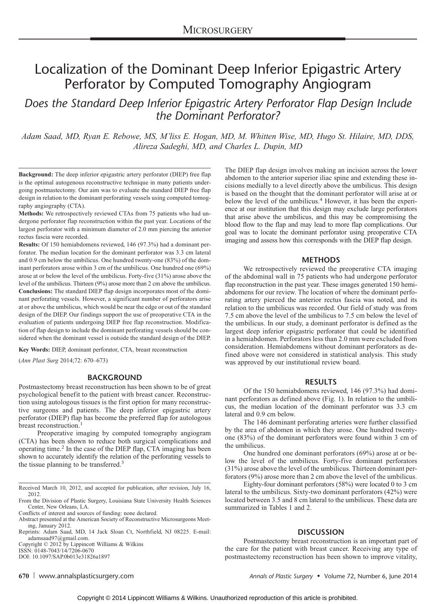# Localization of the Dominant Deep Inferior Epigastric Artery Perforator by Computed Tomography Angiogram

Does the Standard Deep Inferior Epigastric Artery Perforator Flap Design Include the Dominant Perforator?

Adam Saad, MD, Ryan E. Rebowe, MS, M'liss E. Hogan, MD, M. Whitten Wise, MD, Hugo St. Hilaire, MD, DDS, Alireza Sadeghi, MD, and Charles L. Dupin, MD

Background: The deep inferior epigastric artery perforator (DIEP) free flap is the optimal autogenous reconstructive technique in many patients undergoing postmastectomy. Our aim was to evaluate the standard DIEP free flap design in relation to the dominant perforating vessels using computed tomography angiography (CTA).

Methods: We retrospectively reviewed CTAs from 75 patients who had undergone perforator flap reconstruction within the past year. Locations of the largest perforator with a minimum diameter of 2.0 mm piercing the anterior rectus fascia were recorded.

Results: Of 150 hemiabdomens reviewed, 146 (97.3%) had a dominant perforator. The median location for the dominant perforator was 3.3 cm lateral and 0.9 cm below the umbilicus. One hundred twenty-one (83%) of the dominant perforators arose within 3 cm of the umbilicus. One hundred one (69%) arose at or below the level of the umbilicus. Forty-five (31%) arose above the level of the umbilicus. Thirteen (9%) arose more than 2 cm above the umbilicus. Conclusions: The standard DIEP flap design incorporates most of the dominant perforating vessels. However, a significant number of perforators arise at or above the umbilicus, which would be near the edge or out of the standard design of the DIEP. Our findings support the use of preoperative CTA in the evaluation of patients undergoing DIEP free flap reconstruction. Modification of flap design to include the dominant perforating vessels should be considered when the dominant vessel is outside the standard design of the DIEP.

Key Words: DIEP, dominant perforator, CTA, breast reconstruction

(Ann Plast Surg 2014;72: 670-673)

# BACKGROUND

Postmastectomy breast reconstruction has been shown to be of great psychological benefit to the patient with breast cancer. Reconstruction using autologous tissues is the first option for many reconstructive surgeons and patients. The deep inferior epigastric artery perforator (DIEP) flap has become the preferred flap for autologous breast reconstruction.<sup>1</sup>

Preoperative imaging by computed tomography angiogram (CTA) has been shown to reduce both surgical complications and operating time.<sup>2</sup> In the case of the DIEP flap, CTA imaging has been shown to accurately identify the relation of the perforating vessels to the tissue planning to be transferred.<sup>3</sup>

Received March 10, 2012, and accepted for publication, after revision, July 16, 2012.

From the Division of Plastic Surgery, Louisiana State University Health Sciences Center, New Orleans, LA.

Reprints: Adam Saad, MD, 14 Jack Sloan Ct, Northfield, NJ 08225. E-mail: adamsaad97@gmail.com.<br>Copyright © 2012 by Lippincott Williams & Wilkins<br>ISSN: 0148-7043/14/7206-0670

DOI: 10.1097/SAP.0b013e31826a1897

The DIEP flap design involves making an incision across the lower abdomen to the anterior superior iliac spine and extending these incisions medially to a level directly above the umbilicus. This design is based on the thought that the dominant perforator will arise at or below the level of the umbilicus.<sup>4</sup> However, it has been the experience at our institution that this design may exclude large perforators that arise above the umbilicus, and this may be compromising the blood flow to the flap and may lead to more flap complications. Our goal was to locate the dominant perforator using preoperative CTA imaging and assess how this corresponds with the DIEP flap design.

# **METHODS**

We retrospectively reviewed the preoperative CTA imaging of the abdominal wall in 75 patients who had undergone perforator flap reconstruction in the past year. These images generated 150 hemiabdomens for our review. The location of where the dominant perforating artery pierced the anterior rectus fascia was noted, and its relation to the umbilicus was recorded. Our field of study was from 7.5 cm above the level of the umbilicus to 7.5 cm below the level of the umbilicus. In our study, a dominant perforator is defined as the largest deep inferior epigastric perforator that could be identified in a hemiabdomen. Perforators less than 2.0 mm were excluded from consideration. Hemiabdomens without dominant perforators as defined above were not considered in statistical analysis. This study was approved by our institutional review board.

# RESULTS

Of the 150 hemiabdomens reviewed, 146 (97.3%) had dominant perforators as defined above (Fig. 1). In relation to the umbilicus, the median location of the dominant perforator was 3.3 cm lateral and 0.9 cm below.

The 146 dominant perforating arteries were further classified by the area of abdomen in which they arose. One hundred twentyone (83%) of the dominant perforators were found within 3 cm of the umbilicus.

One hundred one dominant perforators (69%) arose at or below the level of the umbilicus. Forty-five dominant perforators (31%) arose above the level of the umbilicus. Thirteen dominant perforators (9%) arose more than 2 cm above the level of the umbilicus.

Eighty-four dominant perforators (58%) were located 0 to 3 cm lateral to the umbilicus. Sixty-two dominant perforators (42%) were located between 3.5 and 8 cm lateral to the umbilicus. These data are summarized in Tables 1 and 2.

# **DISCUSSION**

Postmastectomy breast reconstruction is an important part of the care for the patient with breast cancer. Receiving any type of postmastectomy reconstruction has been shown to improve vitality,

670 www.annalsplasticsurgery.com example and the Annals of Plastic Surgery • Volume 72, Number 6, June 2014

Conflicts of interest and sources of funding: none declared.

Abstract presented at the American Society of Reconstructive Microsurgeons Meeting, January 2012.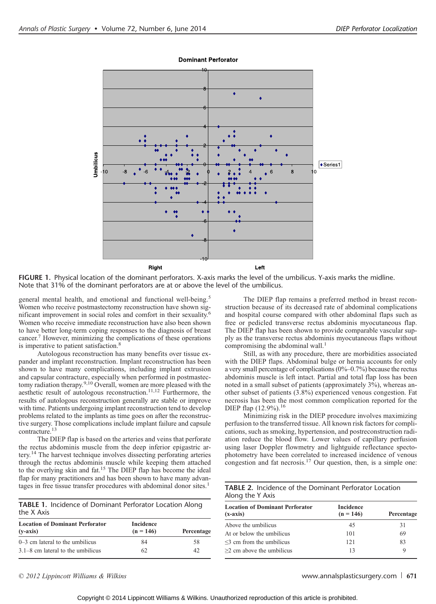

**Dominant Perforator** 

FIGURE 1. Physical location of the dominant perforators. X-axis marks the level of the umbilicus. Y-axis marks the midline. Note that 31% of the dominant perforators are at or above the level of the umbilicus.

general mental health, and emotional and functional well-being.<sup>5</sup> Women who receive postmastectomy reconstruction have shown significant improvement in social roles and comfort in their sexuality.<sup>6</sup> Women who receive immediate reconstruction have also been shown to have better long-term coping responses to the diagnosis of breast cancer.7 However, minimizing the complications of these operations is imperative to patient satisfaction.<sup>8</sup>

Autologous reconstruction has many benefits over tissue expander and implant reconstruction. Implant reconstruction has been shown to have many complications, including implant extrusion and capsular contracture, especially when performed in postmastectomy radiation therapy.<sup>9,10</sup> Overall, women are more pleased with the aesthetic result of autologous reconstruction.11,12 Furthermore, the results of autologous reconstruction generally are stable or improve with time. Patients undergoing implant reconstruction tend to develop problems related to the implants as time goes on after the reconstructive surgery. Those complications include implant failure and capsule contracture.<sup>13</sup>

The DIEP flap is based on the arteries and veins that perforate the rectus abdominis muscle from the deep inferior epigastric artery.<sup>14</sup> The harvest technique involves dissecting perforating arteries through the rectus abdominis muscle while keeping them attached to the overlying skin and fat.<sup>15</sup> The DIEP flap has become the ideal flap for many practitioners and has been shown to have many advantages in free tissue transfer procedures with abdominal donor sites.<sup>1</sup>

|            | TABLE 1. Incidence of Dominant Perforator Location Along |  |  |
|------------|----------------------------------------------------------|--|--|
| the X Axis |                                                          |  |  |

| <b>Location of Dominant Perforator</b><br>$(v-axis)$ | Incidence<br>$(n = 146)$ | Percentage |
|------------------------------------------------------|--------------------------|------------|
| $0-3$ cm lateral to the umbilicus                    | 84                       | 58         |
| $3.1-8$ cm lateral to the umbilicus                  | 62                       | 42         |

The DIEP flap remains a preferred method in breast reconstruction because of its decreased rate of abdominal complications and hospital course compared with other abdominal flaps such as free or pedicled transverse rectus abdominis myocutaneous flap. The DIEP flap has been shown to provide comparable vascular supply as the transverse rectus abdominis myocutaneous flaps without compromising the abdominal wall.<sup>1</sup>

Still, as with any procedure, there are morbidities associated with the DIEP flaps. Abdominal bulge or hernia accounts for only a very small percentage of complications  $(0\% - 0.7\%)$  because the rectus abdominis muscle is left intact. Partial and total flap loss has been noted in a small subset of patients (approximately 3%), whereas another subset of patients (3.8%) experienced venous congestion. Fat necrosis has been the most common complication reported for the DIEP flap  $(12.9\%)$ <sup>16</sup>

Minimizing risk in the DIEP procedure involves maximizing perfusion to the transferred tissue. All known risk factors for complications, such as smoking, hypertension, and postreconstruction radiation reduce the blood flow. Lower values of capillary perfusion using laser Doppler flowmetry and lightguide reflectance spectophotometry have been correlated to increased incidence of venous congestion and fat necrosis.<sup>17</sup> Our question, then, is a simple one:

|                  | <b>TABLE 2.</b> Incidence of the Dominant Perforator Location |
|------------------|---------------------------------------------------------------|
| Along the Y Axis |                                                               |

| Incidence<br>$(n = 146)$ | Percentage |
|--------------------------|------------|
| 45                       | 31         |
| 101                      | 69         |
| 121                      | 83         |
| 13                       | 9          |
|                          |            |

 $\degree$  2012 Lippincott Williams & Wilkins www.annalsplasticsurgery.com  $\degree$  671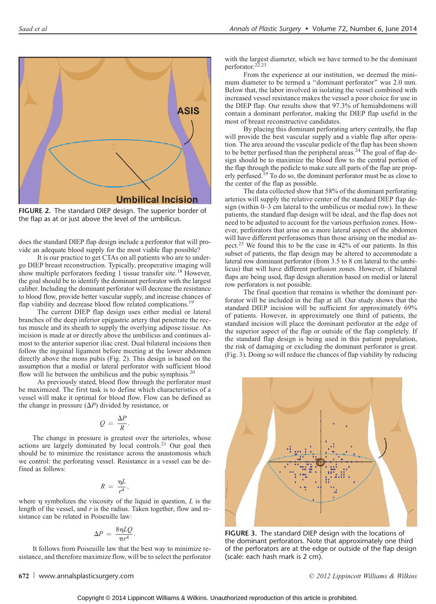

FIGURE 2. The standard DIEP design. The superior border of the flap as at or just above the level of the umbilicus.

does the standard DIEP flap design include a perforator that will provide an adequate blood supply for the most viable flap possible?

It is our practice to get CTAs on all patients who are to undergo DIEP breast reconstruction. Typically, preoperative imaging will show multiple perforators feeding 1 tissue transfer site.<sup>18</sup> However, the goal should be to identify the dominant perforator with the largest caliber. Including the dominant perforator will decrease the resistance to blood flow, provide better vascular supply, and increase chances of flap viability and decrease blood flow related complications.<sup>19</sup>

The current DIEP flap design uses either medial or lateral branches of the deep inferior epigastric artery that penetrate the rectus muscle and its sheath to supply the overlying adipose tissue. An incision is made at or directly above the umbilicus and continues almost to the anterior superior iliac crest. Dual bilateral incisions then follow the inguinal ligament before meeting at the lower abdomen directly above the mons pubis (Fig. 2). This design is based on the assumption that a medial or lateral perforator with sufficient blood flow will lie between the umbilicus and the pubic symphisis.<sup>20</sup>

As previously stated, blood flow through the perforator must be maximized. The first task is to define which characteristics of a vessel will make it optimal for blood flow. Flow can be defined as the change in pressure  $(\Delta P)$  divided by resistance, or

$$
Q = \frac{\Delta P}{R}.
$$

The change in pressure is greatest over the arterioles, whose actions are largely dominated by local controls.<sup>21</sup> Our goal then should be to minimize the resistance across the anastomosis which we control: the perforating vessel. Resistance in a vessel can be defined as follows:

$$
R\,=\,\frac{\eta L}{r^4},
$$

where  $\eta$  symbolizes the viscosity of the liquid in question,  $L$  is the length of the vessel, and  $r$  is the radius. Taken together, flow and resistance can be related in Poiseuille law:

$$
\Delta P = \frac{8\eta LQ}{\pi r^4}.
$$

It follows from Poiseuille law that the best way to minimize resistance, and therefore maximize flow, will be to select the perforator

### with the largest diameter, which we have termed to be the dominant perforator. $2\overline{2}$ ,  $23$

From the experience at our institution, we deemed the minimum diameter to be termed a ''dominant perforator'' was 2.0 mm. Below that, the labor involved in isolating the vessel combined with increased vessel resistance makes the vessel a poor choice for use in the DIEP flap. Our results show that 97.3% of hemiabdomens will contain a dominant perforator, making the DIEP flap useful in the most of breast reconstructive candidates.

By placing this dominant perforating artery centrally, the flap will provide the best vascular supply and a viable flap after operation. The area around the vascular pedicle of the flap has been shown to be better perfused than the peripheral areas.<sup>24</sup> The goal of flap design should be to maximize the blood flow to the central portion of the flap through the pedicle to make sure all parts of the flap are properly perfused.<sup>19</sup> To do so, the dominant perforator must be as close to the center of the flap as possible.

The data collected show that 58% of the dominant perforating arteries will supply the relative center of the standard DIEP flap design (within  $0-3$  cm lateral to the umbilicus or medial row). In these patients, the standard flap design will be ideal, and the flap does not need to be adjusted to account for the various perfusion zones. However, perforators that arise on a more lateral aspect of the abdomen will have different perforasomes than those arising on the medial aspect.<sup>25</sup> We found this to be the case in 42% of our patients. In this subset of patients, the flap design may be altered to accommodate a lateral row dominant perforator (from 3.5 to 8 cm lateral to the umbilicus) that will have different perfusion zones. However, if bilateral flaps are being used, flap design alteration based on medial or lateral row perforators is not possible.

The final question that remains is whether the dominant perforator will be included in the flap at all. Our study shows that the standard DIEP incision will be sufficient for approximately 69% of patients. However, in approximately one third of patients, the standard incision will place the dominant perforator at the edge of the superior aspect of the flap or outside of the flap completely. If the standard flap design is being used in this patient population, the risk of damaging or excluding the dominant perforator is great. (Fig. 3). Doing so will reduce the chances of flap viability by reducing



FIGURE 3. The standard DIEP design with the locations of the dominant perforators. Note that approximately one third of the perforators are at the edge or outside of the flap design (scale: each hash mark is 2 cm).

#### 672 www.annalsplasticsurgery.com **2012** Lippincott Williams & Wilkins